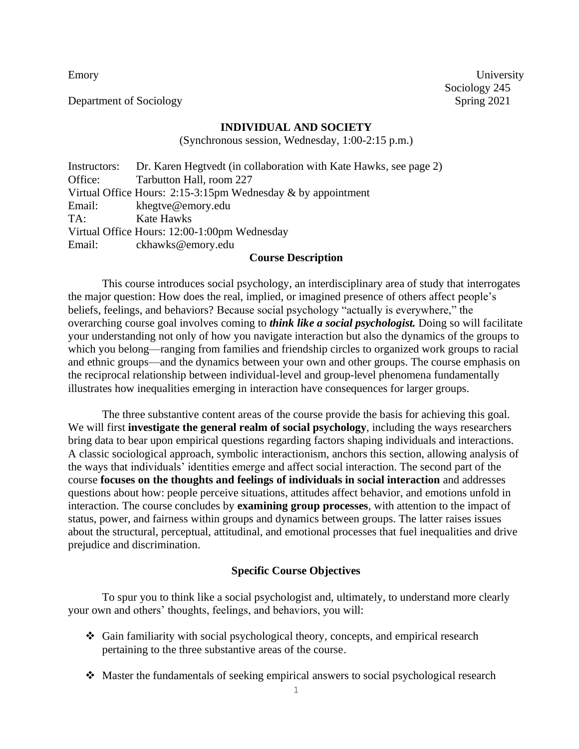Department of Sociology Spring 2021

Emory University Sociology 245

#### **INDIVIDUAL AND SOCIETY**

(Synchronous session, Wednesday, 1:00-2:15 p.m.)

Instructors: Dr. Karen Hegtvedt (in collaboration with Kate Hawks, see page 2) Office: Tarbutton Hall, room 227 Virtual Office Hours: 2:15-3:15pm Wednesday & by appointment Email: khegtve@emory.edu TA: Kate Hawks Virtual Office Hours: 12:00-1:00pm Wednesday Email: ckhawks@emory.edu

#### **Course Description**

This course introduces social psychology, an interdisciplinary area of study that interrogates the major question: How does the real, implied, or imagined presence of others affect people's beliefs, feelings, and behaviors? Because social psychology "actually is everywhere," the overarching course goal involves coming to *think like a social psychologist.* Doing so will facilitate your understanding not only of how you navigate interaction but also the dynamics of the groups to which you belong—ranging from families and friendship circles to organized work groups to racial and ethnic groups—and the dynamics between your own and other groups. The course emphasis on the reciprocal relationship between individual-level and group-level phenomena fundamentally illustrates how inequalities emerging in interaction have consequences for larger groups.

The three substantive content areas of the course provide the basis for achieving this goal. We will first **investigate the general realm of social psychology**, including the ways researchers bring data to bear upon empirical questions regarding factors shaping individuals and interactions. A classic sociological approach, symbolic interactionism, anchors this section, allowing analysis of the ways that individuals' identities emerge and affect social interaction. The second part of the course **focuses on the thoughts and feelings of individuals in social interaction** and addresses questions about how: people perceive situations, attitudes affect behavior, and emotions unfold in interaction. The course concludes by **examining group processes**, with attention to the impact of status, power, and fairness within groups and dynamics between groups. The latter raises issues about the structural, perceptual, attitudinal, and emotional processes that fuel inequalities and drive prejudice and discrimination.

#### **Specific Course Objectives**

To spur you to think like a social psychologist and, ultimately, to understand more clearly your own and others' thoughts, feelings, and behaviors, you will:

- ❖ Gain familiarity with social psychological theory, concepts, and empirical research pertaining to the three substantive areas of the course.
- ❖ Master the fundamentals of seeking empirical answers to social psychological research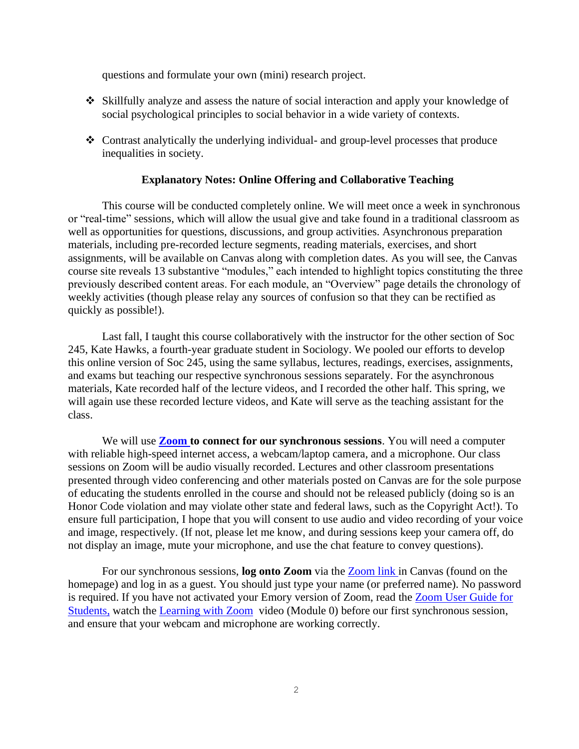questions and formulate your own (mini) research project.

- ❖ Skillfully analyze and assess the nature of social interaction and apply your knowledge of social psychological principles to social behavior in a wide variety of contexts.
- ❖ Contrast analytically the underlying individual- and group-level processes that produce inequalities in society.

#### **Explanatory Notes: Online Offering and Collaborative Teaching**

This course will be conducted completely online. We will meet once a week in synchronous or "real-time" sessions, which will allow the usual give and take found in a traditional classroom as well as opportunities for questions, discussions, and group activities. Asynchronous preparation materials, including pre-recorded lecture segments, reading materials, exercises, and short assignments, will be available on Canvas along with completion dates. As you will see, the Canvas course site reveals 13 substantive "modules," each intended to highlight topics constituting the three previously described content areas. For each module, an "Overview" page details the chronology of weekly activities (though please relay any sources of confusion so that they can be rectified as quickly as possible!).

Last fall, I taught this course collaboratively with the instructor for the other section of Soc 245, Kate Hawks, a fourth-year graduate student in Sociology. We pooled our efforts to develop this online version of Soc 245, using the same syllabus, lectures, readings, exercises, assignments, and exams but teaching our respective synchronous sessions separately. For the asynchronous materials, Kate recorded half of the lecture videos, and I recorded the other half. This spring, we will again use these recorded lecture videos, and Kate will serve as the teaching assistant for the class.

We will use **[Zoom](http://college.emory.edu/oisp/remoteteaching/documents/learning-with-zoom1) to connect for our synchronous sessions**. You will need a computer with reliable high-speed internet access, a webcam/laptop camera, and a microphone. Our class sessions on Zoom will be audio visually recorded. Lectures and other classroom presentations presented through video conferencing and other materials posted on Canvas are for the sole purpose of educating the students enrolled in the course and should not be released publicly (doing so is an Honor Code violation and may violate other state and federal laws, such as the Copyright Act!). To ensure full participation, I hope that you will consent to use audio and video recording of your voice and image, respectively. (If not, please let me know, and during sessions keep your camera off, do not display an image, mute your microphone, and use the chat feature to convey questions).

For our synchronous sessions, **log onto Zoom** via the [Zoom link i](https://emory.zoom.us/j/92018634892?pwd=eStRYmc0dzZyY1dCSmgzQXBMY1pQUT09)n Canvas (found on the homepage) and log in as a guest. You should just type your name (or preferred name). No password is required. If you have not activated your Emory version of Zoom, read the Zoom User Guide for Students, watch the [Learning with Zoom](https://support.zoom.us/hc/en-us/articles/201362193-How-Do-I-Join-A-Meeting-) video (Module 0) before our first synchronous session, and ensure that your webcam and microphone are working correctly.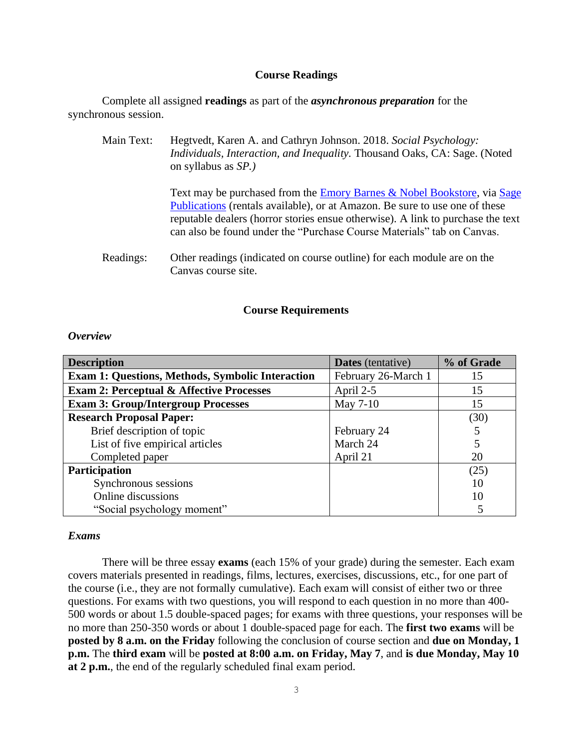#### **Course Readings**

Complete all assigned **readings** as part of the *asynchronous preparation* for the synchronous session.

Main Text: Hegtvedt, Karen A. and Cathryn Johnson. 2018. *Social Psychology: Individuals, Interaction, and Inequality.* Thousand Oaks, CA: Sage. (Noted on syllabus as *SP.)*

> Text may be purchased from the [Emory Barnes & Nobel Bookstore,](https://emory.bncollege.com/shop/emory/page/find-textbooks) via [Sage](https://us.sagepub.com/en-us/nam/social-psychology/book232699)  [Publications](https://us.sagepub.com/en-us/nam/social-psychology/book232699) (rentals available), or at Amazon. Be sure to use one of these reputable dealers (horror stories ensue otherwise). A link to purchase the text can also be found under the "Purchase Course Materials" tab on Canvas.

Readings: Other readings (indicated on course outline) for each module are on the Canvas course site.

#### **Course Requirements**

#### *Overview*

| <b>Description</b>                                      | <b>Dates</b> (tentative) | % of Grade |
|---------------------------------------------------------|--------------------------|------------|
| <b>Exam 1: Questions, Methods, Symbolic Interaction</b> | February 26-March 1      | 15         |
| <b>Exam 2: Perceptual &amp; Affective Processes</b>     | April 2-5                | 15         |
| <b>Exam 3: Group/Intergroup Processes</b>               | May 7-10                 | 15         |
| <b>Research Proposal Paper:</b>                         |                          | (30)       |
| Brief description of topic                              | February 24              |            |
| List of five empirical articles                         | March 24                 | 5          |
| Completed paper                                         | April 21                 | 20         |
| <b>Participation</b>                                    |                          | (25)       |
| Synchronous sessions                                    |                          | 10         |
| Online discussions                                      |                          | 10         |
| "Social psychology moment"                              |                          |            |

#### *Exams*

There will be three essay **exams** (each 15% of your grade) during the semester. Each exam covers materials presented in readings, films, lectures, exercises, discussions, etc., for one part of the course (i.e., they are not formally cumulative). Each exam will consist of either two or three questions. For exams with two questions, you will respond to each question in no more than 400- 500 words or about 1.5 double-spaced pages; for exams with three questions, your responses will be no more than 250-350 words or about 1 double-spaced page for each. The **first two exams** will be **posted by 8 a.m. on the Friday** following the conclusion of course section and **due on Monday, 1 p.m.** The **third exam** will be **posted at 8:00 a.m. on Friday, May 7**, and **is due Monday, May 10 at 2 p.m.**, the end of the regularly scheduled final exam period.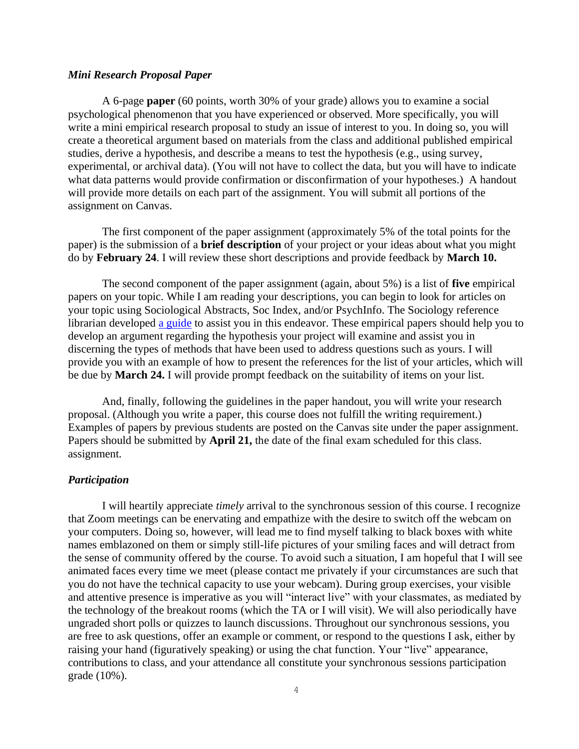#### *Mini Research Proposal Paper*

A 6-page **paper** (60 points, worth 30% of your grade) allows you to examine a social psychological phenomenon that you have experienced or observed. More specifically, you will write a mini empirical research proposal to study an issue of interest to you. In doing so, you will create a theoretical argument based on materials from the class and additional published empirical studies, derive a hypothesis, and describe a means to test the hypothesis (e.g., using survey, experimental, or archival data). (You will not have to collect the data, but you will have to indicate what data patterns would provide confirmation or disconfirmation of your hypotheses.) A handout will provide more details on each part of the assignment. You will submit all portions of the assignment on Canvas.

The first component of the paper assignment (approximately 5% of the total points for the paper) is the submission of a **brief description** of your project or your ideas about what you might do by **February 24**. I will review these short descriptions and provide feedback by **March 10.**

The second component of the paper assignment (again, about 5%) is a list of **five** empirical papers on your topic. While I am reading your descriptions, you can begin to look for articles on your topic using Sociological Abstracts, Soc Index, and/or PsychInfo. The Sociology reference librarian developed a [guide](https://guides.libraries.emory.edu/main/soc245-individual-society) to assist you in this endeavor. These empirical papers should help you to develop an argument regarding the hypothesis your project will examine and assist you in discerning the types of methods that have been used to address questions such as yours. I will provide you with an example of how to present the references for the list of your articles, which will be due by **March 24.** I will provide prompt feedback on the suitability of items on your list.

And, finally, following the guidelines in the paper handout, you will write your research proposal. (Although you write a paper, this course does not fulfill the writing requirement.) Examples of papers by previous students are posted on the Canvas site under the paper assignment. Papers should be submitted by **April 21,** the date of the final exam scheduled for this class. assignment.

#### *Participation*

I will heartily appreciate *timely* arrival to the synchronous session of this course. I recognize that Zoom meetings can be enervating and empathize with the desire to switch off the webcam on your computers. Doing so, however, will lead me to find myself talking to black boxes with white names emblazoned on them or simply still-life pictures of your smiling faces and will detract from the sense of community offered by the course. To avoid such a situation, I am hopeful that I will see animated faces every time we meet (please contact me privately if your circumstances are such that you do not have the technical capacity to use your webcam). During group exercises, your visible and attentive presence is imperative as you will "interact live" with your classmates, as mediated by the technology of the breakout rooms (which the TA or I will visit). We will also periodically have ungraded short polls or quizzes to launch discussions. Throughout our synchronous sessions, you are free to ask questions, offer an example or comment, or respond to the questions I ask, either by raising your hand (figuratively speaking) or using the chat function. Your "live" appearance, contributions to class, and your attendance all constitute your synchronous sessions participation grade (10%).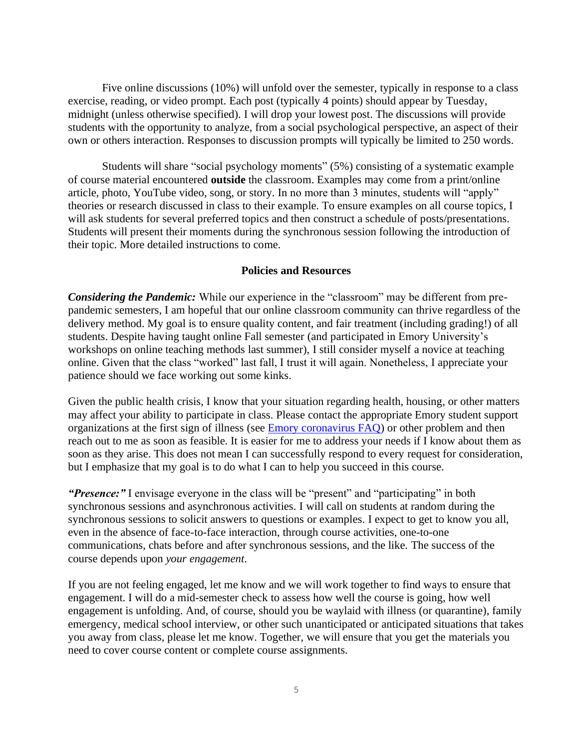Five online discussions (10%) will unfold over the semester, typically in response to a class exercise, reading, or video prompt. Each post (typically 4 points) should appear by Tuesday, midnight (unless otherwise specified). I will drop your lowest post. The discussions will provide students with the opportunity to analyze, from a social psychological perspective, an aspect of their own or others interaction. Responses to discussion prompts will typically be limited to 250 words.

Students will share "social psychology moments" (5%) consisting of a systematic example of course material encountered **outside** the classroom. Examples may come from a print/online article, photo, YouTube video, song, or story. In no more than 3 minutes, students will "apply" theories or research discussed in class to their example. To ensure examples on all course topics, I will ask students for several preferred topics and then construct a schedule of posts/presentations. Students will present their moments during the synchronous session following the introduction of their topic. More detailed instructions to come.

#### **Policies and Resources**

*Considering the Pandemic:* While our experience in the "classroom" may be different from prepandemic semesters, I am hopeful that our online classroom community can thrive regardless of the delivery method. My goal is to ensure quality content, and fair treatment (including grading!) of all students. Despite having taught online Fall semester (and participated in Emory University's workshops on online teaching methods last summer), I still consider myself a novice at teaching online. Given that the class "worked" last fall, I trust it will again. Nonetheless, I appreciate your patience should we face working out some kinks.

Given the public health crisis, I know that your situation regarding health, housing, or other matters may affect your ability to participate in class. Please contact the appropriate Emory student support organizations at the first sign of illness (see [Emory coronavirus FAQ\)](https://www.emory.edu/coronavirus/emory/faq/index.html) or other problem and then reach out to me as soon as feasible. It is easier for me to address your needs if I know about them as soon as they arise. This does not mean I can successfully respond to every request for consideration, but I emphasize that my goal is to do what I can to help you succeed in this course.

*"Presence:"* I envisage everyone in the class will be "present" and "participating" in both synchronous sessions and asynchronous activities. I will call on students at random during the synchronous sessions to solicit answers to questions or examples. I expect to get to know you all, even in the absence of face-to-face interaction, through course activities, one-to-one communications, chats before and after synchronous sessions, and the like. The success of the course depends upon *your engagement*.

If you are not feeling engaged, let me know and we will work together to find ways to ensure that engagement. I will do a mid-semester check to assess how well the course is going, how well engagement is unfolding. And, of course, should you be waylaid with illness (or quarantine), family emergency, medical school interview, or other such unanticipated or anticipated situations that takes you away from class, please let me know. Together, we will ensure that you get the materials you need to cover course content or complete course assignments.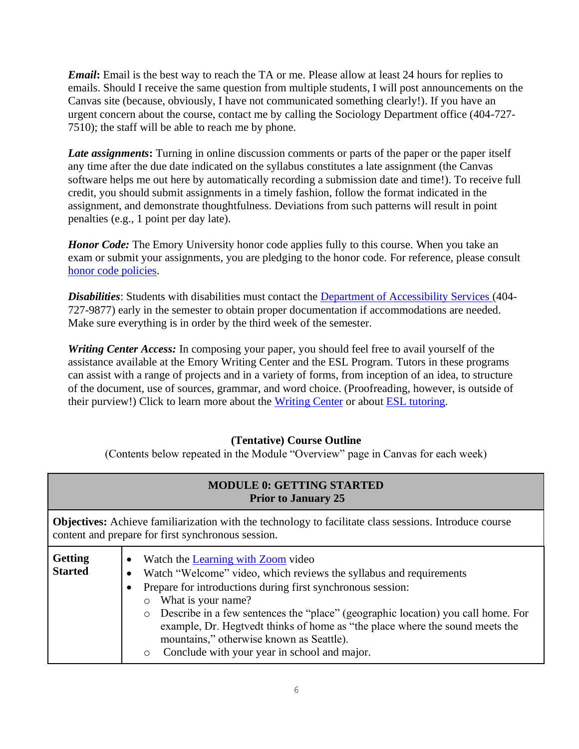*Email***:** Email is the best way to reach the TA or me. Please allow at least 24 hours for replies to emails. Should I receive the same question from multiple students, I will post announcements on the Canvas site (because, obviously, I have not communicated something clearly!). If you have an urgent concern about the course, contact me by calling the Sociology Department office (404-727- 7510); the staff will be able to reach me by phone.

*Late assignments*: Turning in online discussion comments or parts of the paper or the paper itself any time after the due date indicated on the syllabus constitutes a late assignment (the Canvas software helps me out here by automatically recording a submission date and time!). To receive full credit, you should submit assignments in a timely fashion, follow the format indicated in the assignment, and demonstrate thoughtfulness. Deviations from such patterns will result in point penalties (e.g., 1 point per day late).

*Honor Code:* The Emory University honor code applies fully to this course. When you take an exam or submit your assignments, you are pledging to the honor code. For reference, please consult [honor code policies.](http://catalog.college.emory.edu/academic/policies-regulations/honor-code.html)

*Disabilities*: Students with disabilities must contact the [Department of Accessibility Services \(](http://equityandinclusion.emory.edu/access/index.html)404- 727-9877) early in the semester to obtain proper documentation if accommodations are needed. Make sure everything is in order by the third week of the semester.

*Writing Center Access:* In composing your paper, you should feel free to avail yourself of the assistance available at the Emory Writing Center and the ESL Program. Tutors in these programs can assist with a range of projects and in a variety of forms, from inception of an idea, to structure of the document, use of sources, grammar, and word choice. (Proofreading, however, is outside of their purview!) Click to learn more about the [Writing Center](http://writingcenter.emory.edu/) or about [ESL tutoring.](http://college.emory.edu/oue/current-students/international-students/esl-program.html)

### **(Tentative) Course Outline**

(Contents below repeated in the Module "Overview" page in Canvas for each week)

|                                  | <b>MODULE 0: GETTING STARTED</b><br><b>Prior to January 25</b>                                                                                                                                                                                                                                                                                                                                                                                                                                              |
|----------------------------------|-------------------------------------------------------------------------------------------------------------------------------------------------------------------------------------------------------------------------------------------------------------------------------------------------------------------------------------------------------------------------------------------------------------------------------------------------------------------------------------------------------------|
|                                  | <b>Objectives:</b> Achieve familiarization with the technology to facilitate class sessions. Introduce course<br>content and prepare for first synchronous session.                                                                                                                                                                                                                                                                                                                                         |
| <b>Getting</b><br><b>Started</b> | Watch the Learning with Zoom video<br>Watch "Welcome" video, which reviews the syllabus and requirements<br>$\bullet$<br>Prepare for introductions during first synchronous session:<br>What is your name?<br>$\circ$<br>Describe in a few sentences the "place" (geographic location) you call home. For<br>$\circ$<br>example, Dr. Hegtvedt thinks of home as "the place where the sound meets the<br>mountains," otherwise known as Seattle).<br>Conclude with your year in school and major.<br>$\circ$ |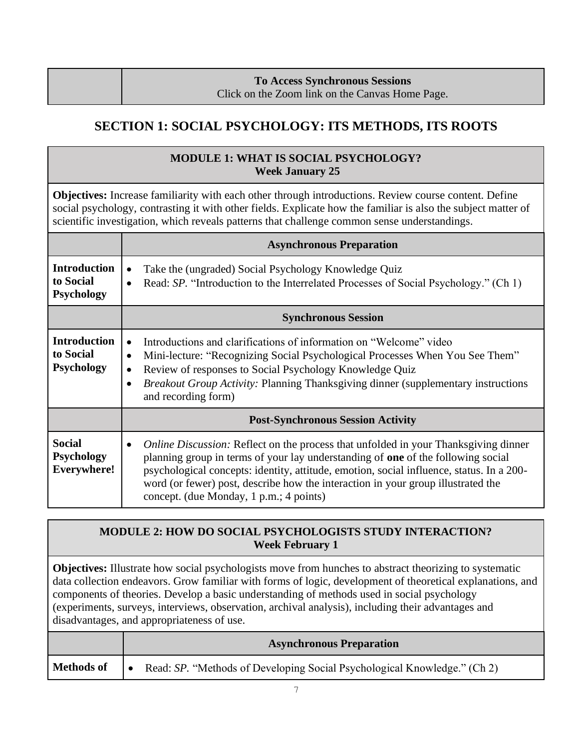# **To Access Synchronous Sessions**

## Click on the Zoom link on the Canvas Home Page.

# **SECTION 1: SOCIAL PSYCHOLOGY: ITS METHODS, ITS ROOTS**

## **MODULE 1: WHAT IS SOCIAL PSYCHOLOGY? Week January 25**

**Objectives:** Increase familiarity with each other through introductions. Review course content. Define social psychology, contrasting it with other fields. Explicate how the familiar is also the subject matter of scientific investigation, which reveals patterns that challenge common sense understandings.

|                                                          | <b>Asynchronous Preparation</b>                                                                                                                                                                                                                                                                                                                                                                                        |
|----------------------------------------------------------|------------------------------------------------------------------------------------------------------------------------------------------------------------------------------------------------------------------------------------------------------------------------------------------------------------------------------------------------------------------------------------------------------------------------|
| <b>Introduction</b><br>to Social<br><b>Psychology</b>    | Take the (ungraded) Social Psychology Knowledge Quiz<br>$\bullet$<br>Read: SP. "Introduction to the Interrelated Processes of Social Psychology." (Ch 1)<br>$\bullet$                                                                                                                                                                                                                                                  |
|                                                          | <b>Synchronous Session</b>                                                                                                                                                                                                                                                                                                                                                                                             |
| <b>Introduction</b><br>to Social<br><b>Psychology</b>    | Introductions and clarifications of information on "Welcome" video<br>$\bullet$<br>Mini-lecture: "Recognizing Social Psychological Processes When You See Them"<br>$\bullet$<br>Review of responses to Social Psychology Knowledge Quiz<br>$\bullet$<br><b>Breakout Group Activity: Planning Thanksgiving dinner (supplementary instructions</b><br>$\bullet$<br>and recording form)                                   |
|                                                          | <b>Post-Synchronous Session Activity</b>                                                                                                                                                                                                                                                                                                                                                                               |
| <b>Social</b><br><b>Psychology</b><br><b>Everywhere!</b> | <i>Online Discussion:</i> Reflect on the process that unfolded in your Thanksgiving dinner<br>$\bullet$<br>planning group in terms of your lay understanding of one of the following social<br>psychological concepts: identity, attitude, emotion, social influence, status. In a 200-<br>word (or fewer) post, describe how the interaction in your group illustrated the<br>concept. (due Monday, 1 p.m.; 4 points) |

## **MODULE 2: HOW DO SOCIAL PSYCHOLOGISTS STUDY INTERACTION? Week February 1**

**Objectives:** Illustrate how social psychologists move from hunches to abstract theorizing to systematic data collection endeavors. Grow familiar with forms of logic, development of theoretical explanations, and components of theories. Develop a basic understanding of methods used in social psychology (experiments, surveys, interviews, observation, archival analysis), including their advantages and disadvantages, and appropriateness of use.

|            | <b>Asynchronous Preparation</b>                                          |
|------------|--------------------------------------------------------------------------|
| Methods of | Read: SP. "Methods of Developing Social Psychological Knowledge." (Ch 2) |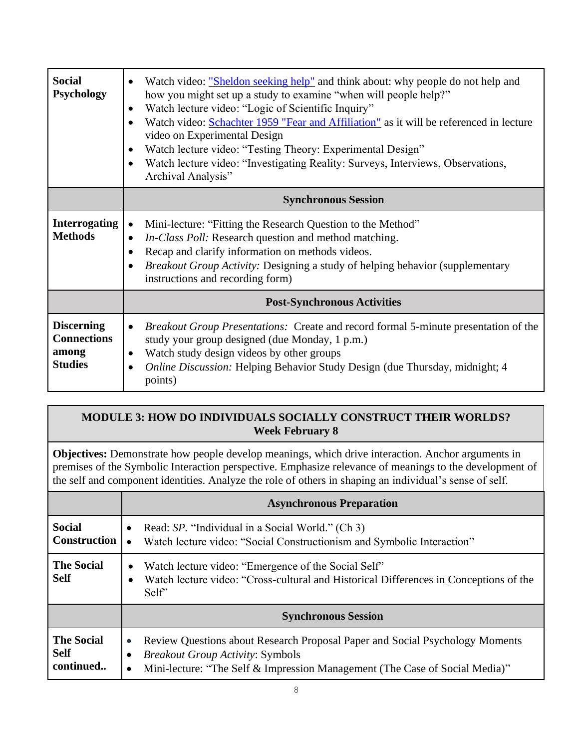| <b>Social</b><br><b>Psychology</b>                                 | Watch video: "Sheldon seeking help" and think about: why people do not help and<br>$\bullet$<br>how you might set up a study to examine "when will people help?"<br>Watch lecture video: "Logic of Scientific Inquiry"<br>$\bullet$<br>Watch video: Schachter 1959 "Fear and Affiliation" as it will be referenced in lecture<br>$\bullet$<br>video on Experimental Design<br>Watch lecture video: "Testing Theory: Experimental Design"<br>$\bullet$<br>Watch lecture video: "Investigating Reality: Surveys, Interviews, Observations,<br>$\bullet$<br>Archival Analysis" |
|--------------------------------------------------------------------|-----------------------------------------------------------------------------------------------------------------------------------------------------------------------------------------------------------------------------------------------------------------------------------------------------------------------------------------------------------------------------------------------------------------------------------------------------------------------------------------------------------------------------------------------------------------------------|
|                                                                    | <b>Synchronous Session</b>                                                                                                                                                                                                                                                                                                                                                                                                                                                                                                                                                  |
| <b>Interrogating</b><br><b>Methods</b>                             | Mini-lecture: "Fitting the Research Question to the Method"<br>$\bullet$<br>In-Class Poll: Research question and method matching.<br>$\bullet$<br>Recap and clarify information on methods videos.<br>$\bullet$<br><i>Breakout Group Activity:</i> Designing a study of helping behavior (supplementary<br>$\bullet$<br>instructions and recording form)                                                                                                                                                                                                                    |
|                                                                    | <b>Post-Synchronous Activities</b>                                                                                                                                                                                                                                                                                                                                                                                                                                                                                                                                          |
| <b>Discerning</b><br><b>Connections</b><br>among<br><b>Studies</b> | <i>Breakout Group Presentations:</i> Create and record formal 5-minute presentation of the<br>$\bullet$<br>study your group designed (due Monday, 1 p.m.)<br>Watch study design videos by other groups<br>$\bullet$<br><i>Online Discussion:</i> Helping Behavior Study Design (due Thursday, midnight; 4)<br>$\bullet$<br>points)                                                                                                                                                                                                                                          |

## **MODULE 3: HOW DO INDIVIDUALS SOCIALLY CONSTRUCT THEIR WORLDS? Week February 8**

**Objectives:** Demonstrate how people develop meanings, which drive interaction. Anchor arguments in premises of the Symbolic Interaction perspective. Emphasize relevance of meanings to the development of the self and component identities. Analyze the role of others in shaping an individual's sense of self.

|                                               | <b>Asynchronous Preparation</b>                                                                                                                                                                                                  |  |
|-----------------------------------------------|----------------------------------------------------------------------------------------------------------------------------------------------------------------------------------------------------------------------------------|--|
| <b>Social</b><br><b>Construction</b>          | Read: SP. "Individual in a Social World." (Ch 3)<br>$\bullet$<br>Watch lecture video: "Social Constructionism and Symbolic Interaction"                                                                                          |  |
| <b>The Social</b><br><b>Self</b>              | Watch lecture video: "Emergence of the Social Self"<br>$\bullet$<br>Watch lecture video: "Cross-cultural and Historical Differences in Conceptions of the<br>$\bullet$<br>Self"                                                  |  |
|                                               | <b>Synchronous Session</b>                                                                                                                                                                                                       |  |
| <b>The Social</b><br><b>Self</b><br>continued | Review Questions about Research Proposal Paper and Social Psychology Moments<br>$\bullet$<br><b>Breakout Group Activity: Symbols</b><br>Mini-lecture: "The Self & Impression Management (The Case of Social Media)"<br>$\bullet$ |  |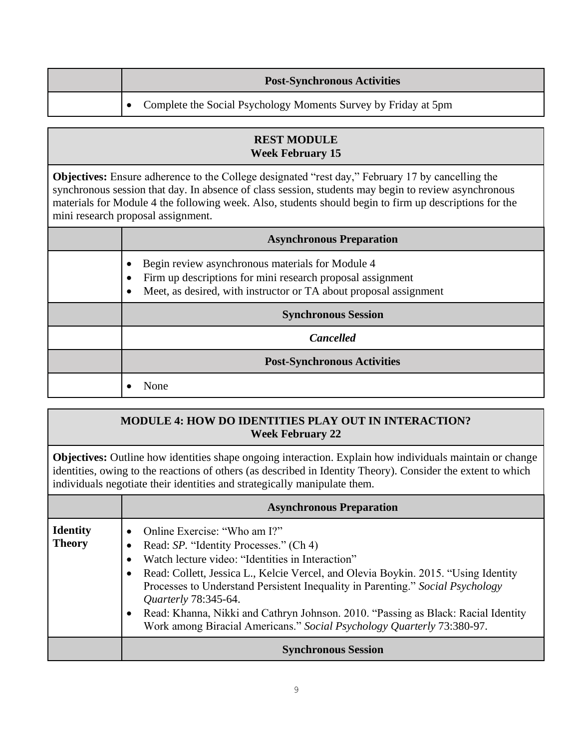|  | <b>Post-Synchronous Activities</b>                             |
|--|----------------------------------------------------------------|
|  | Complete the Social Psychology Moments Survey by Friday at 5pm |

## **REST MODULE Week February 15**

**Objectives:** Ensure adherence to the College designated "rest day," February 17 by cancelling the synchronous session that day. In absence of class session, students may begin to review asynchronous materials for Module 4 the following week. Also, students should begin to firm up descriptions for the mini research proposal assignment.

| <b>Asynchronous Preparation</b>                                                                                                                                                     |
|-------------------------------------------------------------------------------------------------------------------------------------------------------------------------------------|
| Begin review asynchronous materials for Module 4<br>Firm up descriptions for mini research proposal assignment<br>Meet, as desired, with instructor or TA about proposal assignment |
| <b>Synchronous Session</b>                                                                                                                                                          |
| <b>Cancelled</b>                                                                                                                                                                    |
| <b>Post-Synchronous Activities</b>                                                                                                                                                  |
| None                                                                                                                                                                                |

## **MODULE 4: HOW DO IDENTITIES PLAY OUT IN INTERACTION? Week February 22**

**Objectives:** Outline how identities shape ongoing interaction. Explain how individuals maintain or change identities, owing to the reactions of others (as described in Identity Theory). Consider the extent to which individuals negotiate their identities and strategically manipulate them.

|                                  | <b>Asynchronous Preparation</b>                                                                                                                                                                                                                                                                                                                                                                                                                                                                                    |
|----------------------------------|--------------------------------------------------------------------------------------------------------------------------------------------------------------------------------------------------------------------------------------------------------------------------------------------------------------------------------------------------------------------------------------------------------------------------------------------------------------------------------------------------------------------|
| <b>Identity</b><br><b>Theory</b> | Online Exercise: "Who am I?"<br>Read: SP. "Identity Processes." (Ch 4)<br>Watch lecture video: "Identities in Interaction"<br>Read: Collett, Jessica L., Kelcie Vercel, and Olevia Boykin. 2015. "Using Identity<br>$\bullet$<br>Processes to Understand Persistent Inequality in Parenting." Social Psychology<br><i>Quarterly</i> 78:345-64.<br>Read: Khanna, Nikki and Cathryn Johnson. 2010. "Passing as Black: Racial Identity<br>٠<br>Work among Biracial Americans." Social Psychology Quarterly 73:380-97. |
|                                  | <b>Synchronous Session</b>                                                                                                                                                                                                                                                                                                                                                                                                                                                                                         |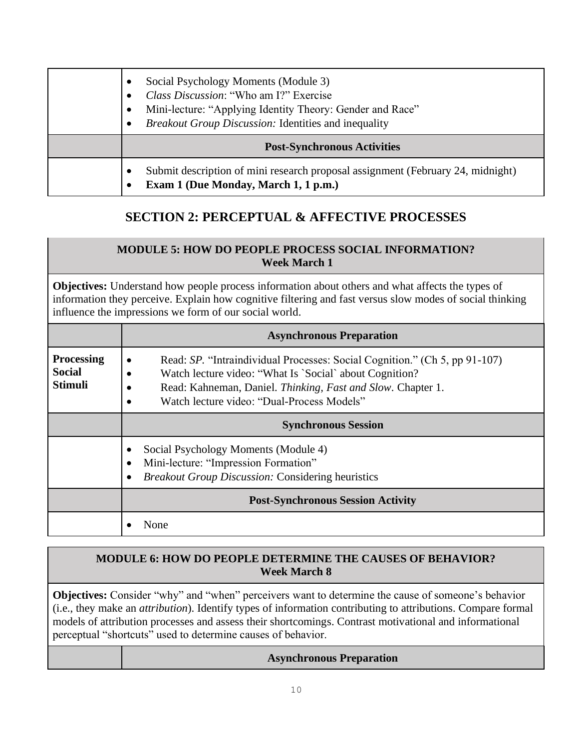| Social Psychology Moments (Module 3)<br>Class Discussion: "Who am I?" Exercise<br>Mini-lecture: "Applying Identity Theory: Gender and Race"<br><b>Breakout Group Discussion: Identities and inequality</b> |
|------------------------------------------------------------------------------------------------------------------------------------------------------------------------------------------------------------|
| <b>Post-Synchronous Activities</b>                                                                                                                                                                         |
| Submit description of mini research proposal assignment (February 24, midnight)<br>Exam 1 (Due Monday, March 1, 1 p.m.)                                                                                    |

# **SECTION 2: PERCEPTUAL & AFFECTIVE PROCESSES**

## **MODULE 5: HOW DO PEOPLE PROCESS SOCIAL INFORMATION? Week March 1**

**Objectives:** Understand how people process information about others and what affects the types of information they perceive. Explain how cognitive filtering and fast versus slow modes of social thinking influence the impressions we form of our social world.

|                                                      | <b>Asynchronous Preparation</b>                                                                                                                                                                                                                    |
|------------------------------------------------------|----------------------------------------------------------------------------------------------------------------------------------------------------------------------------------------------------------------------------------------------------|
| <b>Processing</b><br><b>Social</b><br><b>Stimuli</b> | Read: SP. "Intraindividual Processes: Social Cognition." (Ch 5, pp 91-107)<br>Watch lecture video: "What Is `Social` about Cognition?<br>Read: Kahneman, Daniel. Thinking, Fast and Slow. Chapter 1.<br>Watch lecture video: "Dual-Process Models" |
|                                                      | <b>Synchronous Session</b>                                                                                                                                                                                                                         |
|                                                      | Social Psychology Moments (Module 4)<br>Mini-lecture: "Impression Formation"<br><b>Breakout Group Discussion: Considering heuristics</b>                                                                                                           |
|                                                      | <b>Post-Synchronous Session Activity</b>                                                                                                                                                                                                           |
|                                                      | None                                                                                                                                                                                                                                               |

## **MODULE 6: HOW DO PEOPLE DETERMINE THE CAUSES OF BEHAVIOR? Week March 8**

**Objectives:** Consider "why" and "when" perceivers want to determine the cause of someone's behavior (i.e., they make an *attribution*). Identify types of information contributing to attributions. Compare formal models of attribution processes and assess their shortcomings. Contrast motivational and informational perceptual "shortcuts" used to determine causes of behavior.

| <b>Asynchronous Preparation</b> |  |
|---------------------------------|--|
|---------------------------------|--|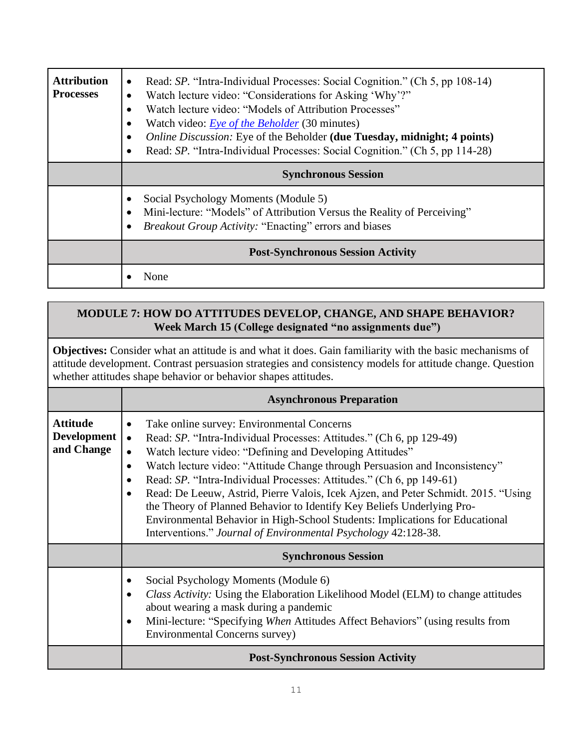| <b>Attribution</b><br><b>Processes</b> | Read: SP. "Intra-Individual Processes: Social Cognition." (Ch 5, pp 108-14)<br>$\bullet$<br>Watch lecture video: "Considerations for Asking 'Why'?"<br>$\bullet$<br>Watch lecture video: "Models of Attribution Processes"<br>$\bullet$<br>Watch video: <i>Eye of the Beholder</i> (30 minutes)<br>$\bullet$<br>Online Discussion: Eye of the Beholder (due Tuesday, midnight; 4 points)<br>$\bullet$<br>Read: SP. "Intra-Individual Processes: Social Cognition." (Ch 5, pp 114-28)<br>$\bullet$<br><b>Synchronous Session</b> |
|----------------------------------------|---------------------------------------------------------------------------------------------------------------------------------------------------------------------------------------------------------------------------------------------------------------------------------------------------------------------------------------------------------------------------------------------------------------------------------------------------------------------------------------------------------------------------------|
|                                        | Social Psychology Moments (Module 5)<br>٠<br>Mini-lecture: "Models" of Attribution Versus the Reality of Perceiving"<br>$\bullet$<br>Breakout Group Activity: "Enacting" errors and biases<br>$\bullet$                                                                                                                                                                                                                                                                                                                         |
|                                        | <b>Post-Synchronous Session Activity</b>                                                                                                                                                                                                                                                                                                                                                                                                                                                                                        |
|                                        | None                                                                                                                                                                                                                                                                                                                                                                                                                                                                                                                            |

## **MODULE 7: HOW DO ATTITUDES DEVELOP, CHANGE, AND SHAPE BEHAVIOR? Week March 15 (College designated "no assignments due")**

**Objectives:** Consider what an attitude is and what it does. Gain familiarity with the basic mechanisms of attitude development. Contrast persuasion strategies and consistency models for attitude change. Question whether attitudes shape behavior or behavior shapes attitudes.

|                                                     | <b>Asynchronous Preparation</b>                                                                                                                                                                                                                                                                                                                                                                                                                                                                                                                                                                                                                                                                                          |
|-----------------------------------------------------|--------------------------------------------------------------------------------------------------------------------------------------------------------------------------------------------------------------------------------------------------------------------------------------------------------------------------------------------------------------------------------------------------------------------------------------------------------------------------------------------------------------------------------------------------------------------------------------------------------------------------------------------------------------------------------------------------------------------------|
| <b>Attitude</b><br><b>Development</b><br>and Change | Take online survey: Environmental Concerns<br>$\bullet$<br>Read: SP. "Intra-Individual Processes: Attitudes." (Ch 6, pp 129-49)<br>$\bullet$<br>Watch lecture video: "Defining and Developing Attitudes"<br>$\bullet$<br>Watch lecture video: "Attitude Change through Persuasion and Inconsistency"<br>$\bullet$<br>Read: SP. "Intra-Individual Processes: Attitudes." (Ch 6, pp 149-61)<br>Read: De Leeuw, Astrid, Pierre Valois, Icek Ajzen, and Peter Schmidt. 2015. "Using<br>$\bullet$<br>the Theory of Planned Behavior to Identify Key Beliefs Underlying Pro-<br>Environmental Behavior in High-School Students: Implications for Educational<br>Interventions." Journal of Environmental Psychology 42:128-38. |
|                                                     | <b>Synchronous Session</b>                                                                                                                                                                                                                                                                                                                                                                                                                                                                                                                                                                                                                                                                                               |
|                                                     | Social Psychology Moments (Module 6)<br><i>Class Activity:</i> Using the Elaboration Likelihood Model (ELM) to change attitudes<br>$\bullet$<br>about wearing a mask during a pandemic<br>Mini-lecture: "Specifying When Attitudes Affect Behaviors" (using results from<br>$\bullet$<br><b>Environmental Concerns survey</b> )                                                                                                                                                                                                                                                                                                                                                                                          |
|                                                     | <b>Post-Synchronous Session Activity</b>                                                                                                                                                                                                                                                                                                                                                                                                                                                                                                                                                                                                                                                                                 |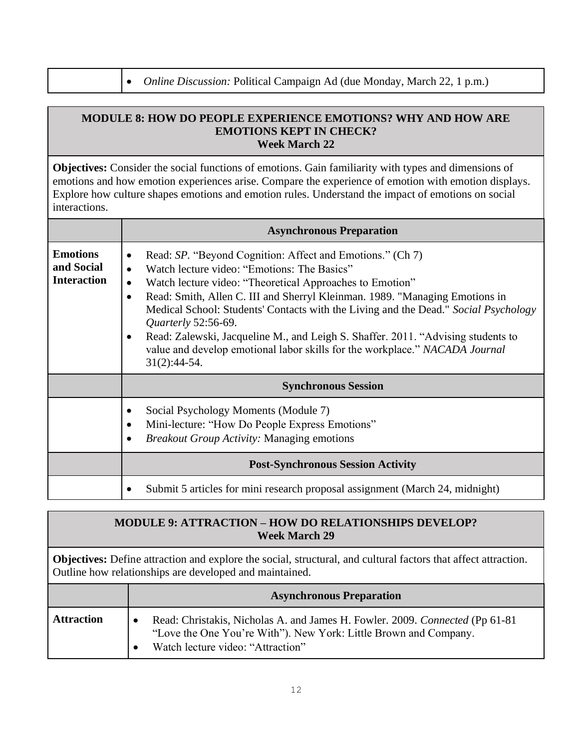• *Online Discussion:* Political Campaign Ad (due Monday, March 22, 1 p.m.)

#### **MODULE 8: HOW DO PEOPLE EXPERIENCE EMOTIONS? WHY AND HOW ARE EMOTIONS KEPT IN CHECK? Week March 22**

**Objectives:** Consider the social functions of emotions. Gain familiarity with types and dimensions of emotions and how emotion experiences arise. Compare the experience of emotion with emotion displays. Explore how culture shapes emotions and emotion rules. Understand the impact of emotions on social interactions.

|                                                     | <b>Asynchronous Preparation</b>                                                                                                                                                                                                                                                                                                                                                                                                                                                                                                                                                                                   |
|-----------------------------------------------------|-------------------------------------------------------------------------------------------------------------------------------------------------------------------------------------------------------------------------------------------------------------------------------------------------------------------------------------------------------------------------------------------------------------------------------------------------------------------------------------------------------------------------------------------------------------------------------------------------------------------|
| <b>Emotions</b><br>and Social<br><b>Interaction</b> | Read: SP. "Beyond Cognition: Affect and Emotions." (Ch 7)<br>$\bullet$<br>Watch lecture video: "Emotions: The Basics"<br>$\bullet$<br>Watch lecture video: "Theoretical Approaches to Emotion"<br>$\bullet$<br>Read: Smith, Allen C. III and Sherryl Kleinman. 1989. "Managing Emotions in<br>$\bullet$<br>Medical School: Students' Contacts with the Living and the Dead." Social Psychology<br><i>Quarterly</i> 52:56-69.<br>Read: Zalewski, Jacqueline M., and Leigh S. Shaffer. 2011. "Advising students to<br>value and develop emotional labor skills for the workplace." NACADA Journal<br>$31(2):44-54.$ |
|                                                     | <b>Synchronous Session</b>                                                                                                                                                                                                                                                                                                                                                                                                                                                                                                                                                                                        |
|                                                     | Social Psychology Moments (Module 7)<br>$\bullet$<br>Mini-lecture: "How Do People Express Emotions"<br><i>Breakout Group Activity:</i> Managing emotions                                                                                                                                                                                                                                                                                                                                                                                                                                                          |
|                                                     | <b>Post-Synchronous Session Activity</b>                                                                                                                                                                                                                                                                                                                                                                                                                                                                                                                                                                          |
|                                                     | Submit 5 articles for mini research proposal assignment (March 24, midnight)                                                                                                                                                                                                                                                                                                                                                                                                                                                                                                                                      |

| <b>MODULE 9: ATTRACTION – HOW DO RELATIONSHIPS DEVELOP?</b> |
|-------------------------------------------------------------|
| <b>Week March 29</b>                                        |

**Objectives:** Define attraction and explore the social, structural, and cultural factors that affect attraction. Outline how relationships are developed and maintained.

|                   | <b>Asynchronous Preparation</b>                                                                                                                                                        |
|-------------------|----------------------------------------------------------------------------------------------------------------------------------------------------------------------------------------|
| <b>Attraction</b> | Read: Christakis, Nicholas A. and James H. Fowler. 2009. Connected (Pp 61-81)<br>"Love the One You're With"). New York: Little Brown and Company.<br>Watch lecture video: "Attraction" |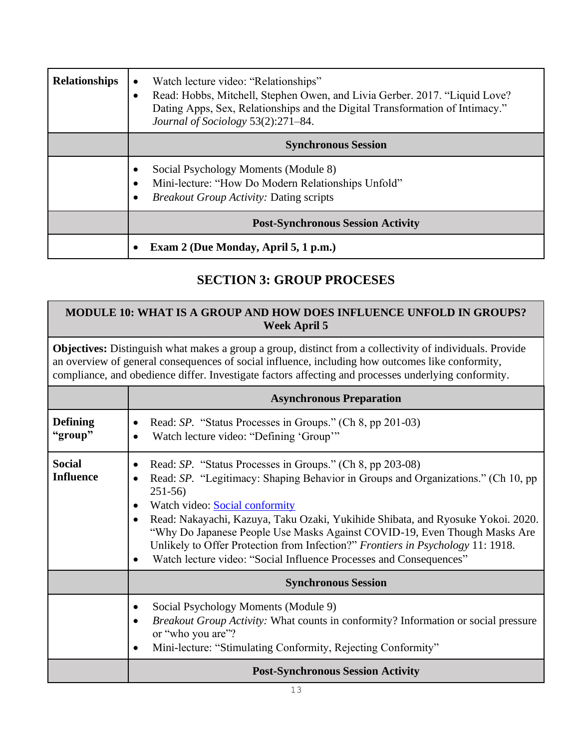| <b>Relationships</b> | Watch lecture video: "Relationships"<br>$\bullet$<br>Read: Hobbs, Mitchell, Stephen Owen, and Livia Gerber. 2017. "Liquid Love?<br>Dating Apps, Sex, Relationships and the Digital Transformation of Intimacy."<br>Journal of Sociology 53(2):271-84. |
|----------------------|-------------------------------------------------------------------------------------------------------------------------------------------------------------------------------------------------------------------------------------------------------|
|                      | <b>Synchronous Session</b>                                                                                                                                                                                                                            |
|                      | Social Psychology Moments (Module 8)<br>Mini-lecture: "How Do Modern Relationships Unfold"<br><b>Breakout Group Activity: Dating scripts</b>                                                                                                          |
|                      | <b>Post-Synchronous Session Activity</b>                                                                                                                                                                                                              |
|                      | Exam 2 (Due Monday, April 5, 1 p.m.)                                                                                                                                                                                                                  |

# **SECTION 3: GROUP PROCESES**

## **MODULE 10: WHAT IS A GROUP AND HOW DOES INFLUENCE UNFOLD IN GROUPS? Week April 5**

**Objectives:** Distinguish what makes a group a group, distinct from a collectivity of individuals. Provide an overview of general consequences of social influence, including how outcomes like conformity, compliance, and obedience differ. Investigate factors affecting and processes underlying conformity.

|                                   | <b>Asynchronous Preparation</b>                                                                                                                                                                                                                                                                                                                                                                                                                                                                                      |
|-----------------------------------|----------------------------------------------------------------------------------------------------------------------------------------------------------------------------------------------------------------------------------------------------------------------------------------------------------------------------------------------------------------------------------------------------------------------------------------------------------------------------------------------------------------------|
| <b>Defining</b><br>"group"        | Read: SP. "Status Processes in Groups." (Ch 8, pp 201-03)<br>Watch lecture video: "Defining 'Group'"                                                                                                                                                                                                                                                                                                                                                                                                                 |
| <b>Social</b><br><b>Influence</b> | Read: SP. "Status Processes in Groups." (Ch 8, pp 203-08)<br>Read: SP. "Legitimacy: Shaping Behavior in Groups and Organizations." (Ch 10, pp<br>$251-56$<br>Watch video: Social conformity<br>Read: Nakayachi, Kazuya, Taku Ozaki, Yukihide Shibata, and Ryosuke Yokoi. 2020.<br>"Why Do Japanese People Use Masks Against COVID-19, Even Though Masks Are<br>Unlikely to Offer Protection from Infection?" Frontiers in Psychology 11: 1918.<br>Watch lecture video: "Social Influence Processes and Consequences" |
|                                   | <b>Synchronous Session</b>                                                                                                                                                                                                                                                                                                                                                                                                                                                                                           |
|                                   | Social Psychology Moments (Module 9)<br><i>Breakout Group Activity:</i> What counts in conformity? Information or social pressure<br>or "who you are"?<br>Mini-lecture: "Stimulating Conformity, Rejecting Conformity"                                                                                                                                                                                                                                                                                               |
|                                   | <b>Post-Synchronous Session Activity</b>                                                                                                                                                                                                                                                                                                                                                                                                                                                                             |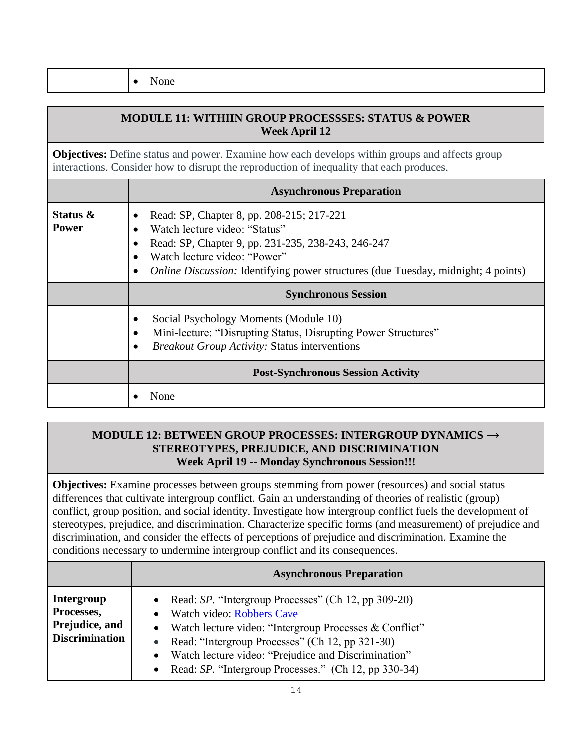• None

| <b>MODULE 11: WITHIIN GROUP PROCESSSES: STATUS &amp; POWER</b><br><b>Week April 12</b> |                                                                                                                                                                                                                                                                           |
|----------------------------------------------------------------------------------------|---------------------------------------------------------------------------------------------------------------------------------------------------------------------------------------------------------------------------------------------------------------------------|
|                                                                                        | <b>Objectives:</b> Define status and power. Examine how each develops within groups and affects group<br>interactions. Consider how to disrupt the reproduction of inequality that each produces.                                                                         |
|                                                                                        | <b>Asynchronous Preparation</b>                                                                                                                                                                                                                                           |
| Status &<br><b>Power</b>                                                               | Read: SP, Chapter 8, pp. 208-215; 217-221<br>Watch lecture video: "Status"<br>Read: SP, Chapter 9, pp. 231-235, 238-243, 246-247<br>Watch lecture video: "Power"<br><i>Online Discussion:</i> Identifying power structures (due Tuesday, midnight; 4 points)<br>$\bullet$ |
|                                                                                        | <b>Synchronous Session</b>                                                                                                                                                                                                                                                |
|                                                                                        | Social Psychology Moments (Module 10)<br>Mini-lecture: "Disrupting Status, Disrupting Power Structures"<br><i>Breakout Group Activity: Status interventions</i>                                                                                                           |
|                                                                                        | <b>Post-Synchronous Session Activity</b>                                                                                                                                                                                                                                  |
|                                                                                        | None                                                                                                                                                                                                                                                                      |

### **MODULE 12: BETWEEN GROUP PROCESSES: INTERGROUP DYNAMICS → STEREOTYPES, PREJUDICE, AND DISCRIMINATION Week April 19 -- Monday Synchronous Session!!!**

**Objectives:** Examine processes between groups stemming from power (resources) and social status differences that cultivate intergroup conflict. Gain an understanding of theories of realistic (group) conflict, group position, and social identity. Investigate how intergroup conflict fuels the development of stereotypes, prejudice, and discrimination. Characterize specific forms (and measurement) of prejudice and discrimination, and consider the effects of perceptions of prejudice and discrimination. Examine the conditions necessary to undermine intergroup conflict and its consequences.

|                                                                     | <b>Asynchronous Preparation</b>                                                                                                                                                                                                                                                                                                                              |
|---------------------------------------------------------------------|--------------------------------------------------------------------------------------------------------------------------------------------------------------------------------------------------------------------------------------------------------------------------------------------------------------------------------------------------------------|
| Intergroup<br>Processes,<br>Prejudice, and<br><b>Discrimination</b> | • Read: $SP$ . "Intergroup Processes" (Ch 12, pp 309-20)<br>Watch video: Robbers Cave<br>$\bullet$<br>• Watch lecture video: "Intergroup Processes $&$ Conflict"<br>Read: "Intergroup Processes" (Ch 12, pp 321-30)<br>$\bullet$<br>Watch lecture video: "Prejudice and Discrimination"<br>$\bullet$<br>Read: SP. "Intergroup Processes." (Ch 12, pp 330-34) |